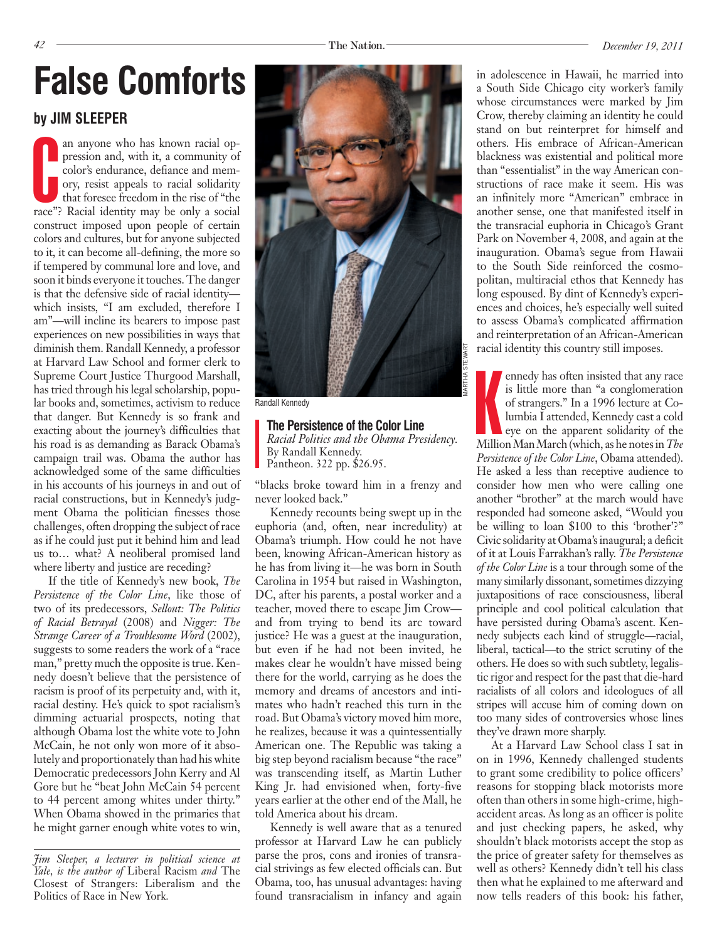# **False Comforts in adolescence in Hawaii, he married into**

#### **by Jim Sleeper**

an anyone who has known racial oppression and, with it, a community of color's endurance, defiance and memory, resist appeals to racial solidarity that foresee freedom in the rise of "the race"? Racial identity may be only an anyone who has known racial oppression and, with it, a community of color's endurance, defiance and memory, resist appeals to racial solidarity that foresee freedom in the rise of "the construct imposed upon people of certain colors and cultures, but for anyone subjected to it, it can become all-defining, the more so if tempered by communal lore and love, and soon it binds everyone it touches. The danger is that the defensive side of racial identity which insists, "I am excluded, therefore I am"—will incline its bearers to impose past experiences on new possibilities in ways that diminish them. Randall Kennedy, a professor at Harvard Law School and former clerk to Supreme Court Justice Thurgood Marshall, has tried through his legal scholarship, popular books and, sometimes, activism to reduce that danger. But Kennedy is so frank and exacting about the journey's difficulties that his road is as demanding as Barack Obama's campaign trail was. Obama the author has acknowledged some of the same difficulties in his accounts of his journeys in and out of racial constructions, but in Kennedy's judgment Obama the politician finesses those challenges, often dropping the subject of race as if he could just put it behind him and lead us to… what? A neoliberal promised land where liberty and justice are receding?

If the title of Kennedy's new book, *The Persistence of the Color Line*, like those of two of its predecessors, *Sellout: The Politics of Racial Betrayal* (2008) and *Nigger: The Strange Career of a Troublesome Word* (2002), suggests to some readers the work of a "race man," pretty much the opposite is true. Kennedy doesn't believe that the persistence of racism is proof of its perpetuity and, with it, racial destiny. He's quick to spot racialism's dimming actuarial prospects, noting that although Obama lost the white vote to John McCain, he not only won more of it absolutely and proportionately than had his white Democratic predecessors John Kerry and Al Gore but he "beat John McCain 54 percent to 44 percent among whites under thirty." When Obama showed in the primaries that he might garner enough white votes to win,



Randall Kennedy

**The Persistence of the Color Line** *Racial Politics and the Obama Presidency.*  By Randall Kennedy. Pantheon. 322 pp. \$26.95.

"blacks broke toward him in a frenzy and never looked back."

Kennedy recounts being swept up in the euphoria (and, often, near incredulity) at Obama's triumph. How could he not have been, knowing African-American history as he has from living it—he was born in South Carolina in 1954 but raised in Washington, DC, after his parents, a postal worker and a teacher, moved there to escape Jim Crow and from trying to bend its arc toward justice? He was a guest at the inauguration, but even if he had not been invited, he makes clear he wouldn't have missed being there for the world, carrying as he does the memory and dreams of ancestors and intimates who hadn't reached this turn in the road. But Obama's victory moved him more, he realizes, because it was a quintessentially American one. The Republic was taking a big step beyond racialism because "the race" was transcending itself, as Martin Luther King Jr. had envisioned when, forty-five years earlier at the other end of the Mall, he told America about his dream.

Kennedy is well aware that as a tenured professor at Harvard Law he can publicly parse the pros, cons and ironies of transracial strivings as few elected officials can. But Obama, too, has unusual advantages: having found transracialism in infancy and again a South Side Chicago city worker's family whose circumstances were marked by Jim Crow, thereby claiming an identity he could stand on but reinterpret for himself and others. His embrace of African-American blackness was existential and political more than "essentialist" in the way American constructions of race make it seem. His was an infinitely more "American" embrace in another sense, one that manifested itself in the transracial euphoria in Chicago's Grant Park on November 4, 2008, and again at the inauguration. Obama's segue from Hawaii to the South Side reinforced the cosmopolitan, multiracial ethos that Kennedy has long espoused. By dint of Kennedy's experiences and choices, he's especially well suited to assess Obama's complicated affirmation and reinterpretation of an African-American racial identity this country still imposes.

ennedy has often insisted that any race<br>is little more than "a conglomeration<br>of strangers." In a 1996 lecture at Co-<br>lumbia I attended, Kennedy cast a cold<br>eye on the apparent solidarity of the<br>Million Man March (which, a ennedy has often insisted that any race is little more than "a conglomeration of strangers." In a 1996 lecture at Columbia I attended, Kennedy cast a cold eye on the apparent solidarity of the *Persistence of the Color Line*, Obama attended). He asked a less than receptive audience to consider how men who were calling one another "brother" at the march would have responded had someone asked, "Would you be willing to loan \$100 to this 'brother'?" Civic solidarity at Obama's inaugural; a deficit of it at Louis Farrakhan's rally. *The Persistence of the Color Line* is a tour through some of the many similarly dissonant, sometimes dizzying juxtapositions of race consciousness, liberal principle and cool political calculation that have persisted during Obama's ascent. Kennedy subjects each kind of struggle—racial, liberal, tactical—to the strict scrutiny of the others. He does so with such subtlety, legalistic rigor and respect for the past that die-hard racialists of all colors and ideologues of all stripes will accuse him of coming down on too many sides of controversies whose lines they've drawn more sharply.

At a Harvard Law School class I sat in on in 1996, Kennedy challenged students to grant some credibility to police officers' reasons for stopping black motorists more often than others in some high-crime, highaccident areas. As long as an officer is polite and just checking papers, he asked, why shouldn't black motorists accept the stop as the price of greater safety for themselves as well as others? Kennedy didn't tell his class then what he explained to me afterward and now tells readers of this book: his father,

*Jim Sleeper, a lecturer in political science at Yale, is the author of* Liberal Racism *and* The Closest of Strangers: Liberalism and the Politics of Race in New York*.*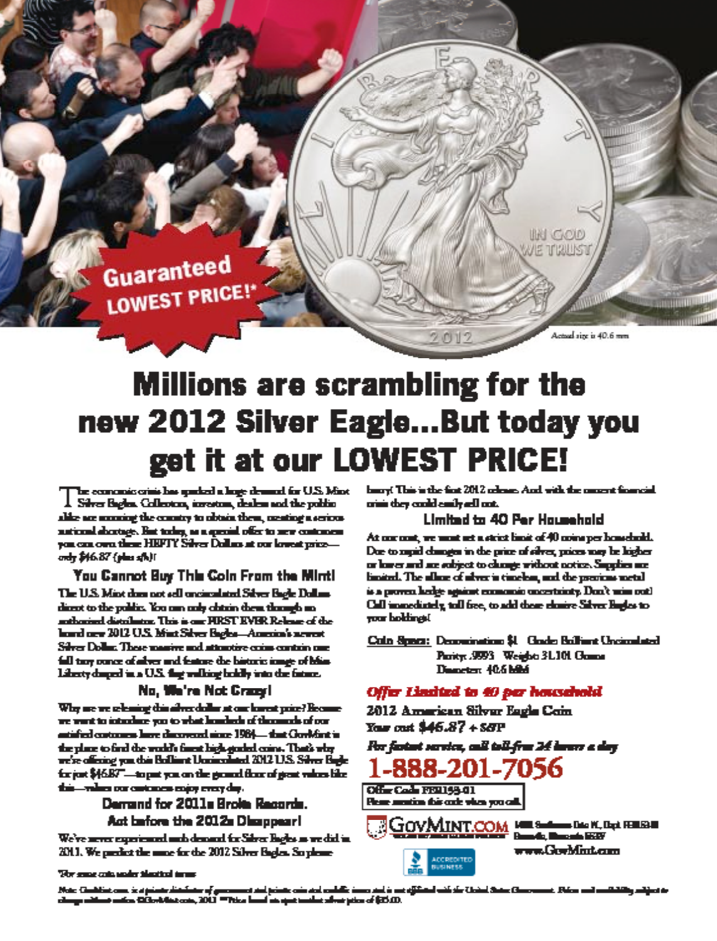

Actual size is 40.6 mm

IN GOD **NE TRUST** 

## **Millions are scrambling for the** new 2012 Silver Eagle...But today you get it at our LOWEST PRICE!

be comonic crisi has garbed a loge demand for U.S. Mint  $\boldsymbol{1}$  . Silver Bights, Collecton, investors, dealers and the politic ables are according the country to obtain them, menting a serious national shortage. But today, as a questial offer to serv contonent you can own these HRFTY Silver Dollars at our lowest priceondy \$46.87 (plus sfb)!

You Cannot Buy This Coin From the Minti

The U.S. Mint does not sell uncirculated Silver Bagle Dollarsdirect to the politic. You can only clatric them through ananthonised distributor. This is one FIRST EVER Release of the<br>laund new 2012 U.S. Mint Silver Bagles-America's newest Silver Dollar. These massive and attentive come contrin one full tary conce of aliver and feature the bistoric ionge of blias. Library dunged in a U.S. that walking boddly into the fature.

#### No. We're Not Crazyl

Why are we releasing this alway dollar at our lowest price? Hoosenewe want to interlace you to what loading of the mode of our antified contours have discovered since 1984—that Gorl/fint is the place to find the world's finest high-goaled coins. That's why we're offering you this Building Uncinculated 2012 U.S. Silver Bugle for just \$46.87"—to put you on the ground those of great values like this-values our customers enjoy every day.

> Demand for 2011s Broke Records. Act before the 2012s Disappear!

We've move experienced unto demand for Silver Bagles as we did in 2011. We predict the more for the 2012 Silver Bagier. So pleasebury! This is the first 2012 release. And with the nament financial orini they could easily adl out.

#### **Limited to 40 Per Household**

At our cost, we wont set a strict limit of 40 coins per household. Due to supid changes in the price of silver, prices may be higher or lower and are subject to clumps without notice. Supplies are: limited. The allow of alver is timelon, and the previous metal is a proven hedge against enumeration uncertainty. Don't wiss out! Call immediately, tall free, to add those closire Silver Bugles to your boldings!

Coin Space: Decouration \$1 Gode Britain Uncomined Parity: .9993 Weight: 31.101 Games Disnetent 40.6 hilled

#### Offer Lindted to 40 per household

2012 American Silver Eagle Coin Your cost \$46.87 + S&P

Per fastast service, call toll-free 24 hours a day



Office Code 1991144.01 **Flow motion this cole when you call** 



The same catalogular theatical torus

Note: Condition case, is a primar distribut is Chathlinis come is at primite distributor of generators and primite coin and confullir intersected in our<br>uga mitteraturalism CDS:vAdina come, 2012 ""Pitica formal un aput tombine allvest prime of (25.03). بالمرازق أستوريات -0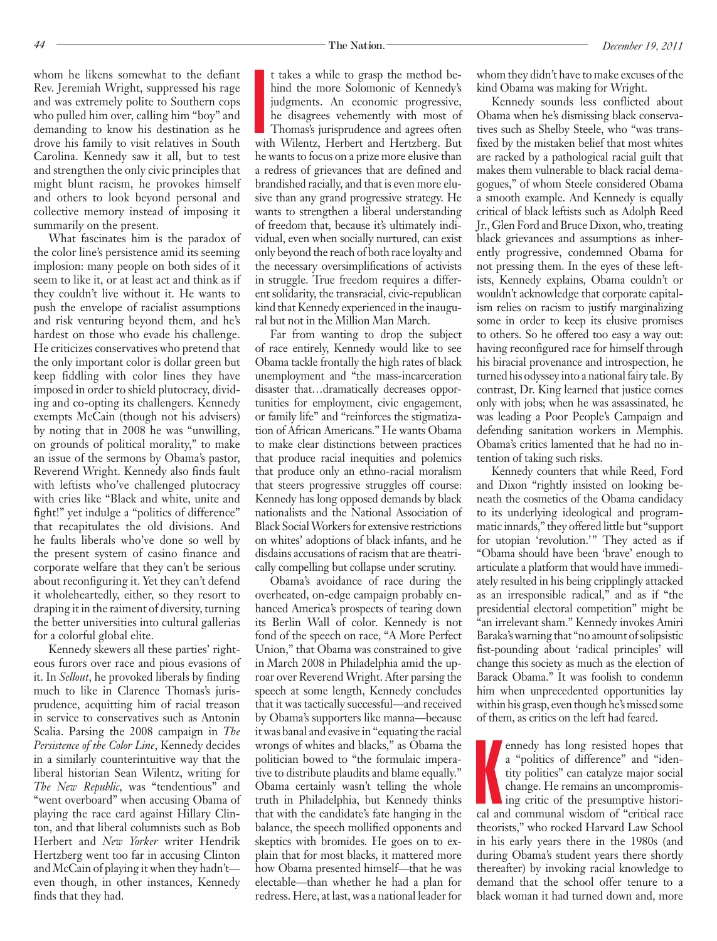whom he likens somewhat to the defiant Rev. Jeremiah Wright, suppressed his rage and was extremely polite to Southern cops who pulled him over, calling him "boy" and demanding to know his destination as he drove his family to visit relatives in South Carolina. Kennedy saw it all, but to test and strengthen the only civic principles that might blunt racism, he provokes himself and others to look beyond personal and collective memory instead of imposing it summarily on the present.

What fascinates him is the paradox of the color line's persistence amid its seeming implosion: many people on both sides of it seem to like it, or at least act and think as if they couldn't live without it. He wants to push the envelope of racialist assumptions and risk venturing beyond them, and he's hardest on those who evade his challenge. He criticizes conservatives who pretend that the only important color is dollar green but keep fiddling with color lines they have imposed in order to shield plutocracy, dividing and co-opting its challengers. Kennedy exempts McCain (though not his advisers) by noting that in 2008 he was "unwilling, on grounds of political morality," to make an issue of the sermons by Obama's pastor, Reverend Wright. Kennedy also finds fault with leftists who've challenged plutocracy with cries like "Black and white, unite and fight!" yet indulge a "politics of difference" that recapitulates the old divisions. And he faults liberals who've done so well by the present system of casino finance and corporate welfare that they can't be serious about reconfiguring it. Yet they can't defend it wholeheartedly, either, so they resort to draping it in the raiment of diversity, turning the better universities into cultural gallerias for a colorful global elite.

Kennedy skewers all these parties' righteous furors over race and pious evasions of it. In *Sellout*, he provoked liberals by finding much to like in Clarence Thomas's jurisprudence, acquitting him of racial treason in service to conservatives such as Antonin Scalia. Parsing the 2008 campaign in *The Persistence of the Color Line*, Kennedy decides in a similarly counterintuitive way that the liberal historian Sean Wilentz, writing for *The New Republic*, was "tendentious" and "went overboard" when accusing Obama of playing the race card against Hillary Clinton, and that liberal columnists such as Bob Herbert and *New Yorker* writer Hendrik Hertzberg went too far in accusing Clinton and McCain of playing it when they hadn't even though, in other instances, Kennedy finds that they had.

**I**<br>William t takes a while to grasp the method behind the more Solomonic of Kennedy's judgments. An economic progressive, he disagrees vehemently with most of Thomas's jurisprudence and agrees often with Wilentz, Herbert and Hertzberg. But he wants to focus on a prize more elusive than a redress of grievances that are defined and brandished racially, and that is even more elusive than any grand progressive strategy. He wants to strengthen a liberal understanding of freedom that, because it's ultimately individual, even when socially nurtured, can exist only beyond the reach of both race loyalty and the necessary oversimplifications of activists in struggle. True freedom requires a different solidarity, the transracial, civic-republican kind that Kennedy experienced in the inaugural but not in the Million Man March.

Far from wanting to drop the subject of race entirely, Kennedy would like to see Obama tackle frontally the high rates of black unemployment and "the mass-incarceration disaster that…dramatically decreases opportunities for employment, civic engagement, or family life" and "reinforces the stigmatization of African Americans." He wants Obama to make clear distinctions between practices that produce racial inequities and polemics that produce only an ethno-racial moralism that steers progressive struggles off course: Kennedy has long opposed demands by black nationalists and the National Association of Black Social Workers for extensive restrictions on whites' adoptions of black infants, and he disdains accusations of racism that are theatrically compelling but collapse under scrutiny.

Obama's avoidance of race during the overheated, on-edge campaign probably enhanced America's prospects of tearing down its Berlin Wall of color. Kennedy is not fond of the speech on race, "A More Perfect Union," that Obama was constrained to give in March 2008 in Philadelphia amid the uproar over Reverend Wright. After parsing the speech at some length, Kennedy concludes that it was tactically successful—and received by Obama's supporters like manna—because it was banal and evasive in "equating the racial wrongs of whites and blacks," as Obama the politician bowed to "the formulaic imperative to distribute plaudits and blame equally." Obama certainly wasn't telling the whole truth in Philadelphia, but Kennedy thinks that with the candidate's fate hanging in the balance, the speech mollified opponents and skeptics with bromides. He goes on to explain that for most blacks, it mattered more how Obama presented himself—that he was electable—than whether he had a plan for redress. Here, at last, was a national leader for

whom they didn't have to make excuses of the kind Obama was making for Wright.

Kennedy sounds less conflicted about Obama when he's dismissing black conservatives such as Shelby Steele, who "was transfixed by the mistaken belief that most whites are racked by a pathological racial guilt that makes them vulnerable to black racial demagogues," of whom Steele considered Obama a smooth example. And Kennedy is equally critical of black leftists such as Adolph Reed Jr., Glen Ford and Bruce Dixon, who, treating black grievances and assumptions as inherently progressive, condemned Obama for not pressing them. In the eyes of these leftists, Kennedy explains, Obama couldn't or wouldn't acknowledge that corporate capitalism relies on racism to justify marginalizing some in order to keep its elusive promises to others. So he offered too easy a way out: having reconfigured race for himself through his biracial provenance and introspection, he turned his odyssey into a national fairy tale. By contrast, Dr. King learned that justice comes only with jobs; when he was assassinated, he was leading a Poor People's Campaign and defending sanitation workers in Memphis. Obama's critics lamented that he had no intention of taking such risks.

Kennedy counters that while Reed, Ford and Dixon "rightly insisted on looking beneath the cosmetics of the Obama candidacy to its underlying ideological and programmatic innards," they offered little but "support for utopian 'revolution.'" They acted as if "Obama should have been 'brave' enough to articulate a platform that would have immediately resulted in his being cripplingly attacked as an irresponsible radical," and as if "the presidential electoral competition" might be "an irrelevant sham." Kennedy invokes Amiri Baraka's warning that "no amount of solipsistic fist-pounding about 'radical principles' will change this society as much as the election of Barack Obama." It was foolish to condemn him when unprecedented opportunities lay within his grasp, even though he's missed some of them, as critics on the left had feared.

ennedy has long resisted hopes that<br>a "politics of difference" and "iden-<br>tity politics" can catalyze major social<br>change. He remains an uncompromis-<br>ing critic of the presumptive histori-<br>cal and communal wisdom of "criti ennedy has long resisted hopes that a "politics of difference" and "identity politics" can catalyze major social change. He remains an uncompromising critic of the presumptive historitheorists," who rocked Harvard Law School in his early years there in the 1980s (and during Obama's student years there shortly thereafter) by invoking racial knowledge to demand that the school offer tenure to a black woman it had turned down and, more